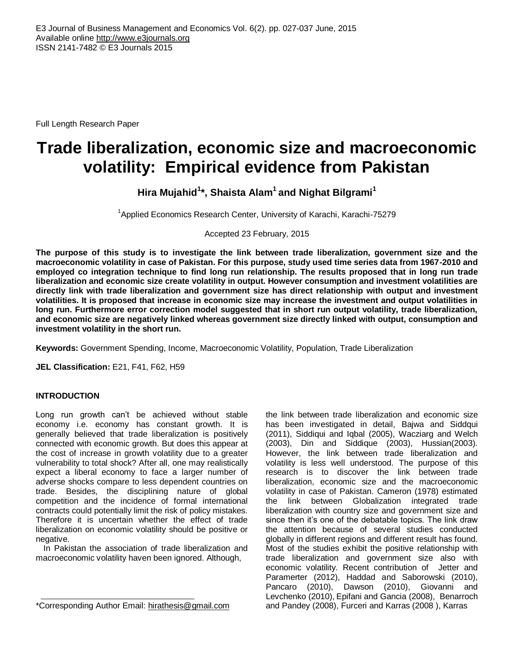Full Length Research Paper

# **Trade liberalization, economic size and macroeconomic volatility: Empirical evidence from Pakistan**

# **Hira Mujahid<sup>1</sup> \*, Shaista Alam 1 and Nighat Bilgrami<sup>1</sup>**

<sup>1</sup>Applied Economics Research Center, University of Karachi, Karachi-75279

Accepted 23 February, 2015

**The purpose of this study is to investigate the link between trade liberalization, government size and the macroeconomic volatility in case of Pakistan. For this purpose, study used time series data from 1967-2010 and employed co integration technique to find long run relationship. The results proposed that in long run trade liberalization and economic size create volatility in output. However consumption and investment volatilities are directly link with trade liberalization and government size has direct relationship with output and investment volatilities. It is proposed that increase in economic size may increase the investment and output volatilities in long run. Furthermore error correction model suggested that in short run output volatility, trade liberalization, and economic size are negatively linked whereas government size directly linked with output, consumption and investment volatility in the short run.**

**Keywords:** Government Spending, Income, Macroeconomic Volatility, Population, Trade Liberalization

**JEL Classification:** E21, F41, F62, H59

## **INTRODUCTION**

Long run growth can't be achieved without stable economy i.e. economy has constant growth. It is generally believed that trade liberalization is positively connected with economic growth. But does this appear at the cost of increase in growth volatility due to a greater vulnerability to total shock? After all, one may realistically expect a liberal economy to face a larger number of adverse shocks compare to less dependent countries on trade. Besides, the disciplining nature of global competition and the incidence of formal international contracts could potentially limit the risk of policy mistakes. Therefore it is uncertain whether the effect of trade liberalization on economic volatility should be positive or negative.

In Pakistan the association of trade liberalization and macroeconomic volatility haven been ignored. Although,

the link between trade liberalization and economic size has been investigated in detail, Bajwa and Siddqui (2011), Siddiqui and Iqbal (2005), Wacziarg and Welch (2003), Din and Siddique (2003), Hussian(2003)*.* However, the link between trade liberalization and volatility is less well understood. The purpose of this research is to discover the link between trade liberalization, economic size and the macroeconomic volatility in case of Pakistan. Cameron (1978) estimated the link between Globalization integrated trade liberalization with country size and government size and since then it's one of the debatable topics. The link draw the attention because of several studies conducted globally in different regions and different result has found. Most of the studies exhibit the positive relationship with trade liberalization and government size also with economic volatility. Recent contribution of Jetter and Paramerter (2012), Haddad and Saborowski (2010), Pancaro (2010), Dawson (2010), Giovanni and Levchenko (2010), Epifani and Gancia (2008), Benarroch and Pandey (2008), Furceri and Karras (2008 ), Karras

<sup>\*</sup>Corresponding Author Email: [hirathesis@gmail.com](mailto:hirathesis@gmail.com)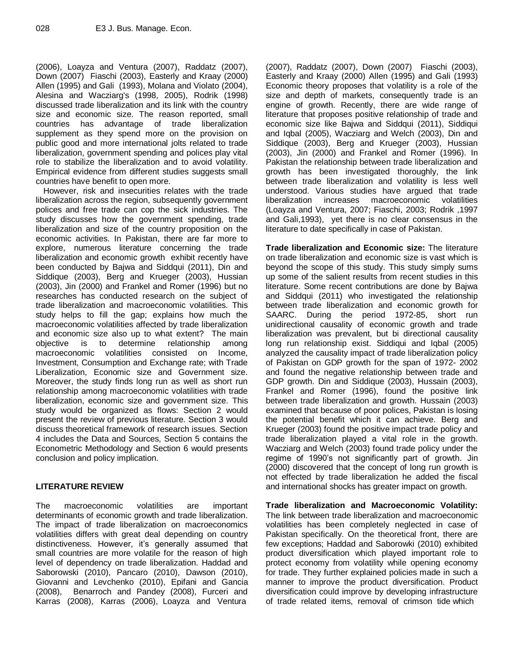(2006), Loayza and Ventura (2007), Raddatz (2007), Down (2007) Fiaschi (2003), Easterly and Kraay (2000) Allen (1995) and Gali (1993), Molana and Violato (2004), Alesina and Wacziarg's (1998, 2005), Rodrik (1998) discussed trade liberalization and its link with the country size and economic size. The reason reported, small countries has advantage of trade liberalization supplement as they spend more on the provision on public good and more international jolts related to trade liberalization, government spending and polices play vital role to stabilize the liberalization and to avoid volatility. Empirical evidence from different studies suggests small countries have benefit to open more.

However, risk and insecurities relates with the trade liberalization across the region, subsequently government polices and free trade can cop the sick industries. The study discusses how the government spending, trade liberalization and size of the country proposition on the economic activities. In Pakistan, there are far more to explore, numerous literature concerning the trade liberalization and economic growth exhibit recently have been conducted by Bajwa and Siddqui (2011), Din and Siddique (2003), Berg and Krueger (2003), Hussian (2003), Jin (2000) and Frankel and Romer (1996) but no researches has conducted research on the subject of trade liberalization and macroeconomic volatilities. This study helps to fill the gap; explains how much the macroeconomic volatilities affected by trade liberalization and economic size also up to what extent? The main objective is to determine relationship among macroeconomic volatilities consisted on Income, Investment, Consumption and Exchange rate; with Trade Liberalization, Economic size and Government size. Moreover, the study finds long run as well as short run relationship among macroeconomic volatilities with trade liberalization, economic size and government size. This study would be organized as flows: Section 2 would present the review of previous literature. Section 3 would discuss theoretical framework of research issues. Section 4 includes the Data and Sources, Section 5 contains the Econometric Methodology and Section 6 would presents conclusion and policy implication.

## **LITERATURE REVIEW**

The macroeconomic volatilities are important determinants of economic growth and trade liberalization. The impact of trade liberalization on macroeconomics volatilities differs with great deal depending on country distinctiveness. However, it's generally assumed that small countries are more volatile for the reason of high level of dependency on trade liberalization. Haddad and Saborowski (2010), Pancaro (2010), Dawson (2010), Giovanni and Levchenko (2010), Epifani and Gancia (2008), Benarroch and Pandey (2008), Furceri and Karras (2008), Karras (2006), Loayza and Ventura

(2007), Raddatz (2007), Down (2007) Fiaschi (2003), Easterly and Kraay (2000) Allen (1995) and Gali (1993) Economic theory proposes that volatility is a role of the size and depth of markets, consequently trade is an engine of growth. Recently, there are wide range of literature that proposes positive relationship of trade and economic size like Bajwa and Siddqui (2011), Siddiqui and Iqbal (2005), Wacziarg and Welch (2003), Din and Siddique (2003), Berg and Krueger (2003), Hussian (2003), Jin (2000) and Frankel and Romer (1996). In Pakistan the relationship between trade liberalization and growth has been investigated thoroughly, the link between trade liberalization and volatility is less well understood. Various studies have argued that trade liberalization increases macroeconomic volatilities (Loayza and Ventura, 2007; Fiaschi, 2003; Rodrik ,1997 and Gali,1993), yet there is no clear consensus in the literature to date specifically in case of Pakistan.

**Trade liberalization and Economic size:** The literature on trade liberalization and economic size is vast which is beyond the scope of this study. This study simply sums up some of the salient results from recent studies in this literature. Some recent contributions are done by Bajwa and Siddqui (2011) who investigated the relationship between trade liberalization and economic growth for SAARC. During the period 1972-85, short run unidirectional causality of economic growth and trade liberalization was prevalent, but bi directional causality long run relationship exist. Siddiqui and Iqbal (2005) analyzed the causality impact of trade liberalization policy of Pakistan on GDP growth for the span of 1972- 2002 and found the negative relationship between trade and GDP growth. Din and Siddique (2003), Hussain (2003), Frankel and Romer (1996), found the positive link between trade liberalization and growth. Hussain (2003) examined that because of poor polices, Pakistan is losing the potential benefit which it can achieve. Berg and Krueger (2003) found the positive impact trade policy and trade liberalization played a vital role in the growth. Wacziarg and Welch (2003) found trade policy under the regime of 1990's not significantly part of growth. Jin (2000) discovered that the concept of long run growth is not effected by trade liberalization he added the fiscal and international shocks has greater impact on growth.

**Trade liberalization and Macroeconomic Volatility:** The link between trade liberalization and macroeconomic volatilities has been completely neglected in case of Pakistan specifically. On the theoretical front, there are few exceptions; Haddad and Saborowki (2010) exhibited product diversification which played important role to protect economy from volatility while opening economy for trade. They further explained policies made in such a manner to improve the product diversification. Product diversification could improve by developing infrastructure of trade related items, removal of crimson tide which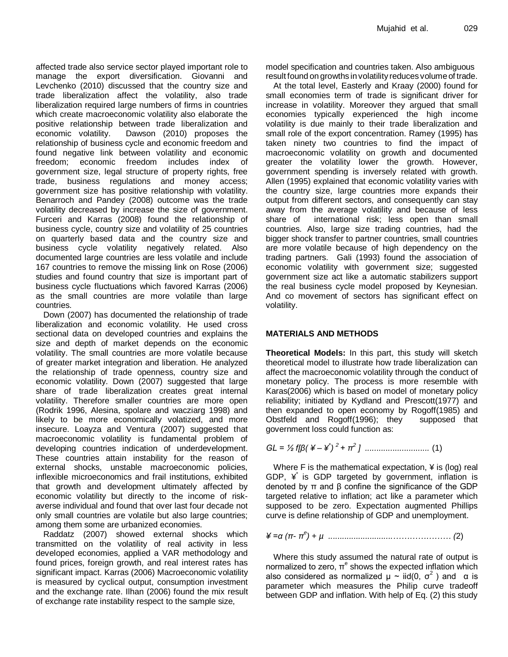affected trade also service sector played important role to manage the export diversification. Giovanni and Levchenko (2010) discussed that the country size and trade liberalization affect the volatility, also trade liberalization required large numbers of firms in countries which create macroeconomic volatility also elaborate the positive relationship between trade liberalization and economic volatility. Dawson (2010) proposes the relationship of business cycle and economic freedom and found negative link between volatility and economic freedom; economic freedom includes index of government size, legal structure of property rights, free trade, business regulations and money access; government size has positive relationship with volatility. Benarroch and Pandey (2008) outcome was the trade volatility decreased by increase the size of government. Furceri and Karras (2008) found the relationship of business cycle, country size and volatility of 25 countries on quarterly based data and the country size and business cycle volatility negatively related. Also documented large countries are less volatile and include 167 countries to remove the missing link on Rose (2006) studies and found country that size is important part of business cycle fluctuations which favored Karras (2006) as the small countries are more volatile than large countries.

Down (2007) has documented the relationship of trade liberalization and economic volatility. He used cross sectional data on developed countries and explains the size and depth of market depends on the economic volatility. The small countries are more volatile because of greater market integration and liberation. He analyzed the relationship of trade openness, country size and economic volatility. Down (2007) suggested that large share of trade liberalization creates great internal volatility. Therefore smaller countries are more open (Rodrik 1996, Alesina, spolare and wacziarg 1998) and likely to be more economically volatized, and more insecure. Loayza and Ventura (2007) suggested that macroeconomic volatility is fundamental problem of developing countries indication of underdevelopment. These countries attain instability for the reason of external shocks, unstable macroeconomic policies, inflexible microeconomics and frail institutions, exhibited that growth and development ultimately affected by economic volatility but directly to the income of riskaverse individual and found that over last four decade not only small countries are volatile but also large countries; among them some are urbanized economies.

Raddatz (2007) showed external shocks which transmitted on the volatility of real activity in less developed economies, applied a VAR methodology and found prices, foreign growth, and real interest rates has significant impact. Karras (2006) Macroeconomic volatility is measured by cyclical output, consumption investment and the exchange rate. Ilhan (2006) found the mix result of exchange rate instability respect to the sample size,

model specification and countries taken. Also ambiguous result found on growths involatility reduces volume of trade.

At the total level, Easterly and Kraay (2000) found for small economies term of trade is significant driver for increase in volatility. Moreover they argued that small economies typically experienced the high income volatility is due mainly to their trade liberalization and small role of the export concentration. Ramey (1995) has taken ninety two countries to find the impact of macroeconomic volatility on growth and documented greater the volatility lower the growth. However, government spending is inversely related with growth. Allen (1995) explained that economic volatility varies with the country size, large countries more expands their output from different sectors, and consequently can stay away from the average volatility and because of less share of international risk; less open than small countries. Also, large size trading countries, had the bigger shock transfer to partner countries, small countries are more volatile because of high dependency on the trading partners. Gali (1993) found the association of economic volatility with government size; suggested government size act like a automatic stabilizers support the real business cycle model proposed by Keynesian. And co movement of sectors has significant effect on volatility.

### **MATERIALS AND METHODS**

**Theoretical Models:** In this part, this study will sketch theoretical model to illustrate how trade liberalization can affect the macroeconomic volatility through the conduct of monetary policy. The process is more resemble with Karas(2006) which is based on model of monetary policy reliability; initiated by Kydland and Prescott(1977) and then expanded to open economy by Rogoff(1985) and Obstfeld and Rogoff(1996); they supposed that government loss could function as:

*GL = ½ f[β( ¥ – ¥ \* ) <sup>2</sup>+ π<sup>2</sup> ] ............................* (1)

Where F is the mathematical expectation,  $\angle$  is (log) real GDP,  $\angle$  is GDP targeted by government, inflation is denoted by π and β confine the significance of the GDP targeted relative to inflation; act like a parameter which supposed to be zero. Expectation augmented Phillips curve is define relationship of GDP and unemployment.

*¥ =α (π- π e ) + µ ............................………………… (*2)

Where this study assumed the natural rate of output is normalized to zero,  $π<sup>e</sup>$  shows the expected inflation which also considered as normalized  $\mu \sim \text{iid}(0, \sigma^2)$  and  $\alpha$  is parameter which measures the Philip curve tradeoff between GDP and inflation. With help of Eq. (2) this study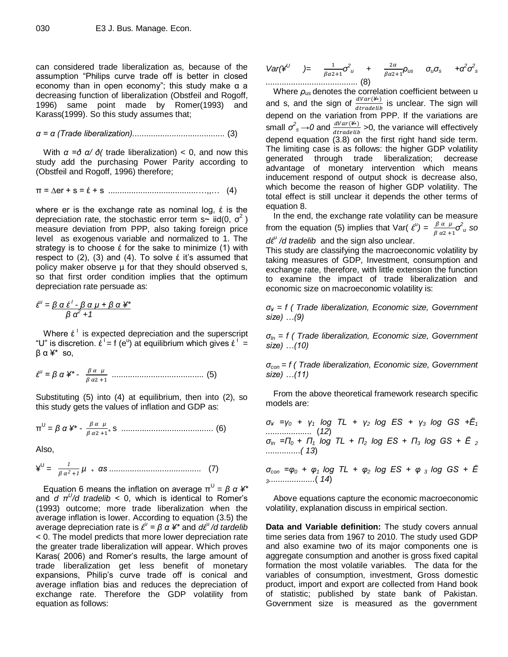can considered trade liberalization as, because of the assumption "Philips curve trade off is better in closed economy than in open economy"; this study make  $\alpha$  a decreasing function of liberalization (Obstfeil and Rogoff, 1996) same point made by Romer(1993) and Karass(1999). So this study assumes that;

*α = α (Trade liberalization)........................................* (3)

With *α =ð α/ ð(* trade liberalization) < 0, and now this study add the purchasing Power Parity according to (Obstfeil and Rogoff, 1996) therefore;

$$
\pi = \Delta er + s = \hat{\epsilon} + s
$$
.................(4)

where er is the exchange rate as nominal log,  $\epsilon$  is the depreciation rate, the stochastic error term s~ iid(0,  $\sigma^2$ ) measure deviation from PPP, also taking foreign price level as exogenous variable and normalized to 1. The strategy is to choose  $\epsilon$  for the sake to minimize (1) with respect to  $(2)$ ,  $(3)$  and  $(4)$ . To solve  $\acute{\epsilon}$  it's assumed that policy maker observe  $\mu$  for that they should observed s, so that first order condition implies that the optimum depreciation rate persuade as:

$$
\boldsymbol{\xi}^{\mathsf{U}} = \frac{\beta \alpha \, \boldsymbol{\xi}^{\mathsf{I}} - \beta \, \alpha \, \boldsymbol{\mu} + \beta \, \alpha \, \boldsymbol{\yen}^*}{\beta \, \alpha^2 + 1}
$$

Where  $\epsilon^{\perp}$  is expected depreciation and the superscript "U" is discretion.  $\dot{\epsilon}^1 = f(e^u)$  at equilibrium which gives  $\dot{\epsilon}^1 =$ β α ¥\* so,

$$
\mathcal{E}^{u} = \beta \alpha \nleftrightarrow^{*} - \frac{\beta \alpha \mu}{\beta \alpha^{2} + 1} \dots \dots \dots \dots \dots \dots \dots \dots \dots \dots \dots \dots \dots \dots \tag{5}
$$

Substituting (5) into (4) at equilibrium, then into (2), so this study gets the values of inflation and GDP as:

π U = *β α ¥\* µ* <sup>+</sup>s *........................................* (6)

Also,

$$
\yen^U = \frac{1}{\beta \alpha^2 + 1} \mu + \alpha s \dots \dots \dots \dots \dots \dots \dots \dots \dots \dots \quad (7)
$$

Equation 6 means the inflation on average  $\pi^U = \beta \; \alpha \; \text{#}^*$ and *d π<sup>U</sup> /d tradelib* < 0, which is identical to Romer's (1993) outcome; more trade liberalization when the average inflation is lower. According to equation (3.5) the average depreciation rate is *έ u = β α ¥\** and *dέ*<sup>u</sup> */d tardelib* < 0. The model predicts that more lower depreciation rate the greater trade liberalization will appear. Which proves Karas( 2006) and Romer's results, the large amount of trade liberalization get less benefit of monetary expansions, Philip's curve trade off is conical and average inflation bias and reduces the depreciation of exchange rate. Therefore the GDP volatility from equation as follows:

$$
Var(\mathbf{A}^U) = \frac{1}{\beta \alpha 2 + 1} \sigma^2 u + \frac{2\alpha}{\beta \alpha 2 + 1} \rho_{US} \sigma_u \sigma_s + \alpha^2 \sigma^2 s
$$

Where *ρus* denotes the correlation coefficient between u and s, and the sign of  $\frac{dVar(\mathcal{F})}{dtrace(i)}$  is unclear. The sign will depend on the variation from PPP. If the variations are small  $\sigma_s^2 \rightarrow 0$  and  $\frac{dVar(\mathcal{L}_s)}{dtrace(\mathcal{L}_s)} > 0$ , the variance will effectively depend equation (3.8) on the first right hand side term. The limiting case is as follows: the higher GDP volatility generated through trade liberalization; decrease advantage of monetary intervention which means inducement respond of output shock is decrease also, which become the reason of higher GDP volatility. The total effect is still unclear it depends the other terms of equation 8.

In the end, the exchange rate volatility can be measure from the equation (5) implies that Var(  $\mathcal{E}^{\mu}$ ) =  $\frac{\beta \alpha \mu}{\beta \alpha 2 + 1} \sigma^2 u$  so *d*ε<sup>*u*</sup> /*d* tradelib and the sign also unclear.

This study are classifying the macroeconomic volatility by taking measures of GDP, Investment, consumption and exchange rate, therefore, with little extension the function to examine the impact of trade liberalization and economic size on macroeconomic volatility is:

*σ¥ = f ( Trade liberalization, Economic size, Government size) …(9)*

*σIn = f ( Trade liberalization, Economic size, Government size) …(10)*

*σcon = f ( Trade liberalization, Economic size, Government size) …(11)*

From the above theoretical framework research specific models are:

*σ¥ =γ<sup>0</sup> + γ<sup>1</sup> log TL + γ2 log ES + γ3 log GS +Ё<sup>1</sup> ....................* (*12*)  $\sigma_{In}$  = $\Pi_0$  +  $\Pi_1$  *log TL* +  $\Pi_2$  *log ES* +  $\Pi_3$  *log GS* +  $\vec{E}$  *z ...............( 13*)

*σcon =φ<sup>0</sup> + φ1 log TL + φ<sup>2</sup> log ES + φ <sup>3</sup>log GS + Ё <sup>3</sup>....................*( *14*)

Above equations capture the economic macroeconomic volatility, explanation discuss in empirical section.

**Data and Variable definition:** The study covers annual time series data from 1967 to 2010. The study used GDP and also examine two of its major components one is aggregate consumption and another is gross fixed capital formation the most volatile variables. The data for the variables of consumption, investment, Gross domestic product, import and export are collected from Hand book of statistic; published by state bank of Pakistan. Government size is measured as the government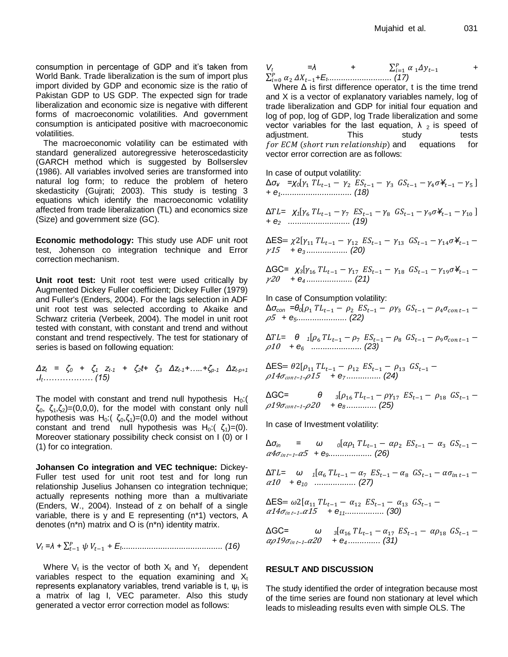consumption in percentage of GDP and it's taken from World Bank. Trade liberalization is the sum of import plus import divided by GDP and economic size is the ratio of Pakistan GDP to US GDP. The expected sign for trade liberalization and economic size is negative with different forms of macroeconomic volatilities. And government consumption is anticipated positive with macroeconomic volatilities.

The macroeconomic volatility can be estimated with standard generalized autoregressive heteroscedasticity (GARCH method which is suggested by Bollserslev (1986). All variables involved series are transformed into natural log form; to reduce the problem of hetero skedasticity (Gujrati; 2003). This study is testing 3 equations which identify the macroeconomic volatility affected from trade liberalization (TL) and economics size (Size) and government size (GC).

**Economic methodology:** This study use ADF unit root test, Johenson co integration technique and Error correction mechanism.

**Unit root test:** Unit root test were used critically by Augmented Dickey Fuller coefficient; Dickey Fuller (1979) and Fuller's (Enders, 2004). For the lags selection in ADF unit root test was selected according to Akaike and Schwarz criteria (Verbeek, 2004). The model in unit root tested with constant, with constant and trend and without constant and trend respectively. The test for stationary of series is based on following equation:

*Δz<sup>t</sup> = ζ<sup>0</sup> + ζ<sup>1</sup> zt-1 + ζ2t+ ζ<sup>3</sup> Δzt-1+…..+ζp-1 Δzt-p+1 <sup>+</sup>It……………… (15)*

The model with constant and trend null hypothesis  $H_0$ :  $\zeta_0$ ,  $\zeta_1$ ,  $\zeta_2$ )=(0,0,0), for the model with constant only null hypothesis was H<sub>0</sub>:( $\zeta_0$ , $\zeta_1$ )=(0,0) and the model without constant and trend null hypothesis was H<sub>0</sub>:( $\zeta_1$ )=(0). Moreover stationary possibility check consist on I (0) or I (1) for co integration.

**Johansen Co integration and VEC technique:** Dickey-Fuller test used for unit root test and for long run relationship Juselius Johansen co integration technique; actually represents nothing more than a multivariate (Enders, W., 2004). Instead of z on behalf of a single variable, there is y and E representing (n\*1) vectors, A denotes (n\*n) matrix and O is (n\*n) identity matrix.

*V<sup>t</sup> =λ + + E<sup>t</sup> ............................................ (16)*

Where  $V_t$  is the vector of both  $X_t$  and  $Y_t$  dependent variables respect to the equation examining and  $X_t$ represents explanatory variables, trend variable is t,  $\psi_t$  is a matrix of lag I, VEC parameter. Also this study generated a vector error correction model as follows:

$$
V_t = \lambda + \sum_{i=1}^P \alpha_i \Delta y_{t-1} + \sum_{i=1}^P \alpha_i \Delta y_{t-1} + \sum_{i=1}^P \alpha_i \Delta y_{t-1}
$$

Where  $\Delta$  is first difference operator, t is the time trend and X is a vector of explanatory variables namely, log of trade liberalization and GDP for initial four equation and log of pop, log of GDP, log Trade liberalization and some vector variables for the last equation,  $\lambda$  <sub>2</sub> is speed of adjustment. This study tests for  $ECM$  (short run relationship) and equations for vector error correction are as follows:

In case of output volatility:

 $\Delta \sigma_4$  **=**χ<sub>0</sub>[γ<sub>1</sub>  $TL_{t-1} - \gamma_2$   $ES_{t-1} - \gamma_3$   $GS_{t-1} - \gamma_4 \sigma \neq_{t-1} - \gamma_5$ ] *+ e1............................... (18)*

 $\Delta T L = \chi_1[\gamma_6 T L_{t-1} - \gamma_7 E S_{t-1} - \gamma_8 G S_{t-1} - \gamma_9 \sigma Y_t]$ *+ e2 ........................... (19)*

ΔES=  $\chi$ 2[γ<sub>11</sub> TL<sub>t-1</sub> - γ<sub>12</sub> ES<sub>t-1</sub> - γ<sub>13</sub> GS<sub>t-1</sub> - γ<sub>14</sub>σ¥<sub>t-1</sub> -<sup>15</sup> *+ e3 .................. (20)*

ΔGC=  $\chi_3[\gamma_{16} T L_{t-1} - \gamma_{17} E S_{t-1} - \gamma_{18} G S_{t-1} - \gamma_{19} \sigma \angle$ <sup>20</sup> *+ e4 .................... (21)*

In case of Consumption volatility:

Δ*σcon =θ<sup>0</sup>* <sup>5</sup> *+ e5...................... (22)*

 $\Delta T L = \theta \frac{1}{2}$ <sup>10</sup> *+ e6 ...................... (23)*

ΔES <sup>14</sup> *<sup>−</sup>*1*<sup>−</sup>* <sup>15</sup> *+ e7 ............... (24)*

ΔGC= *θ <sup>3</sup>* <sup>19</sup> *<sup>−</sup>*1*<sup>−</sup>* <sup>20</sup> *+ e8 ............. (25)*

In case of Investment volatility:

Δ*σin = ω <sup>0</sup>* <sup>4</sup> *<sup>−</sup>*1*<sup>−</sup>* <sup>5</sup> *+ e9................... (26)*

 $\Delta T L = \omega_i$  *1* <sup>10</sup> *+ e10 .................. (27)*

ΔES=  $ω2[α<sub>11</sub> T L<sub>t-1</sub> - α<sub>12</sub> ES<sub>t-1</sub> - α<sub>13</sub> GS<sub>t-1</sub> -$ <sup>14</sup> *<sup>−</sup>*1*<sup>−</sup>* <sup>15</sup> *+ e11................. (30)*

ΔGC= *ω <sup>3</sup>* <sup>19</sup> *<sup>−</sup>*1*<sup>−</sup>* <sup>20</sup> *+ e4 .............. (31)*

### **RESULT AND DISCUSSION**

The study identified the order of integration because most of the time series are found non stationary at level which leads to misleading results even with simple OLS. The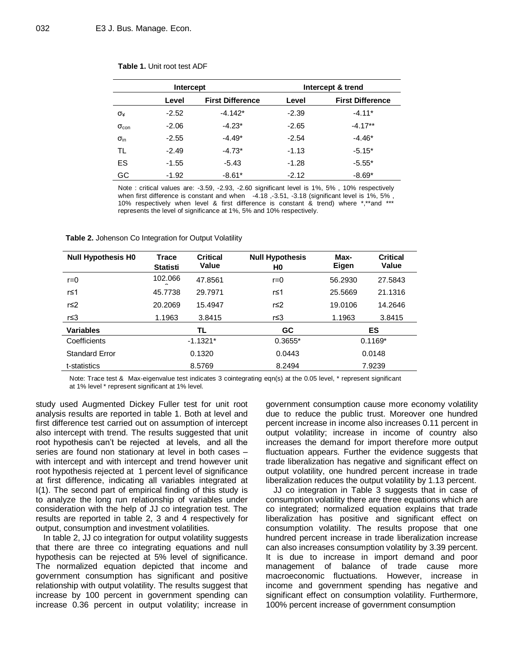| Intercept            |         |                         | Intercept & trend |                         |  |
|----------------------|---------|-------------------------|-------------------|-------------------------|--|
|                      | Level   | <b>First Difference</b> | Level             | <b>First Difference</b> |  |
| σ¥                   | $-2.52$ | $-4.142*$               | $-2.39$           | $-4.11*$                |  |
| $\sigma_{\rm con}$   | $-2.06$ | $-4.23*$                | $-2.65$           | $-4.17**$               |  |
| $\sigma_{\text{in}}$ | $-2.55$ | $-4.49*$                | $-2.54$           | $-4.46*$                |  |
| TL                   | $-2.49$ | $-4.73*$                | $-1.13$           | $-5.15*$                |  |
| ES                   | $-1.55$ | $-5.43$                 | $-1.28$           | $-5.55*$                |  |
| GC                   | $-1.92$ | $-8.61*$                | $-2.12$           | $-8.69*$                |  |

#### **Table 1.** Unit root test ADF

Note : critical values are: -3.59, -2.93, -2.60 significant level is 1%, 5% , 10% respectively when first difference is constant and when -4.18, -3.51, -3.18 (significant level is 1%, 5%, 10% respectively when level & first difference is constant & trend) where \*,\*\*and \*\*\* represents the level of significance at 1%, 5% and 10% respectively.

**Table 2.** Johenson Co Integration for Output Volatility

| <b>Null Hypothesis H0</b> | <b>Trace</b><br><b>Statisti</b> | <b>Critical</b><br>Value | <b>Null Hypothesis</b><br>H0 | Max-<br>Eigen | <b>Critical</b><br>Value |
|---------------------------|---------------------------------|--------------------------|------------------------------|---------------|--------------------------|
| $r=0$                     | 102.066                         | 47.8561                  | $r=0$                        | 56.2930       | 27.5843                  |
| r≤1                       | 45.7738                         | 29.7971                  | r≤1                          | 25.5669       | 21.1316                  |
| r≤2                       | 20.2069                         | 15.4947                  | r≤2                          | 19.0106       | 14.2646                  |
| r≤3                       | 1.1963                          | 3.8415                   | r≤3                          | 1.1963        | 3.8415                   |
| <b>Variables</b>          |                                 | TL                       | <b>GC</b>                    |               | ES                       |
| Coefficients              |                                 | $-1.1321*$               | $0.3655*$                    |               | $0.1169*$                |
| <b>Standard Error</b>     |                                 | 0.1320                   | 0.0443                       |               | 0.0148                   |
| t-statistics              |                                 | 8.5769                   | 8.2494                       |               | 7.9239                   |

Note: Trace test & Max-eigenvalue test indicates 3 cointegrating eqn(s) at the 0.05 level, \* represent significant at 1% level \* represent significant at 1% level.

study used Augmented Dickey Fuller test for unit root analysis results are reported in table 1. Both at level and first difference test carried out on assumption of intercept also intercept with trend. The results suggested that unit root hypothesis can't be rejected at levels, and all the series are found non stationary at level in both cases – with intercept and with intercept and trend however unit root hypothesis rejected at 1 percent level of significance at first difference, indicating all variables integrated at I(1). The second part of empirical finding of this study is to analyze the long run relationship of variables under consideration with the help of JJ co integration test. The results are reported in table 2, 3 and 4 respectively for output, consumption and investment volatilities.

In table 2, JJ co integration for output volatility suggests that there are three co integrating equations and null hypothesis can be rejected at 5% level of significance. The normalized equation depicted that income and government consumption has significant and positive relationship with output volatility. The results suggest that increase by 100 percent in government spending can increase 0.36 percent in output volatility; increase in government consumption cause more economy volatility due to reduce the public trust. Moreover one hundred percent increase in income also increases 0.11 percent in output volatility; increase in income of country also increases the demand for import therefore more output fluctuation appears. Further the evidence suggests that trade liberalization has negative and significant effect on output volatility, one hundred percent increase in trade liberalization reduces the output volatility by 1.13 percent.

JJ co integration in Table 3 suggests that in case of consumption volatility there are three equations which are co integrated; normalized equation explains that trade liberalization has positive and significant effect on consumption volatility. The results propose that one hundred percent increase in trade liberalization increase can also increases consumption volatility by 3.39 percent. It is due to increase in import demand and poor management of balance of trade cause more macroeconomic fluctuations. However, increase in income and government spending has negative and significant effect on consumption volatility. Furthermore, 100% percent increase of government consumption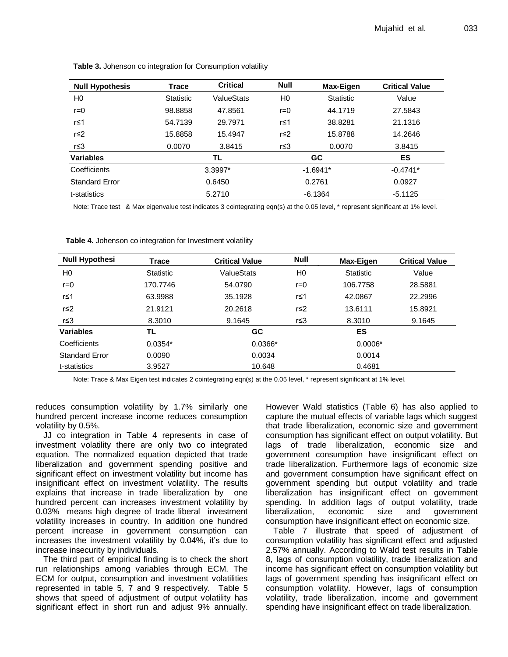| <b>Null Hypothesis</b> | <b>Trace</b>     | <b>Critical</b> | <b>Null</b>    | Max-Eigen        | <b>Critical Value</b> |
|------------------------|------------------|-----------------|----------------|------------------|-----------------------|
| H0                     | <b>Statistic</b> | ValueStats      | H <sub>0</sub> | <b>Statistic</b> | Value                 |
| $r = 0$                | 98.8858          | 47.8561         | $r=0$          | 44.1719          | 27.5843               |
| r≤1                    | 54.7139          | 29.7971         | r≤1            | 38.8281          | 21.1316               |
| r≤2                    | 15.8858          | 15.4947         | r≤2            | 15.8788          | 14.2646               |
| r≤3                    | 0.0070           | 3.8415          | r≤3            | 0.0070           | 3.8415                |
| <b>Variables</b>       |                  | TL              |                | <b>GC</b>        | ES                    |
| Coefficients           |                  | 3.3997*         |                | $-1.6941*$       | $-0.4741*$            |
| <b>Standard Error</b>  |                  | 0.6450          |                | 0.2761           | 0.0927                |
| t-statistics           |                  | 5.2710          |                | $-6.1364$        | $-5.1125$             |

**Table 3.** Johenson co integration for Consumption volatility

Note: Trace test & Max eigenvalue test indicates 3 cointegrating eqn(s) at the 0.05 level, \* represent significant at 1% level.

| <b>Null Hypothesi</b> | Trace            | <b>Critical Value</b> | <b>Null</b>    | Max-Eigen        | <b>Critical Value</b> |
|-----------------------|------------------|-----------------------|----------------|------------------|-----------------------|
| H <sub>0</sub>        | <b>Statistic</b> | ValueStats            | H <sub>0</sub> | <b>Statistic</b> | Value                 |
| $r = 0$               | 170.7746         | 54.0790               | $r = 0$        | 106.7758         | 28.5881               |
| r≤1                   | 63.9988          | 35.1928               | r≤1            | 42.0867          | 22.2996               |
| r≤2                   | 21.9121          | 20.2618               | r≤2            | 13.6111          | 15.8921               |
| r≤3                   | 8.3010           | 9.1645                | r≤3            | 8.3010           | 9.1645                |
| <b>Variables</b>      | TL               | <b>GC</b>             |                | ES               |                       |
| Coefficients          | $0.0354*$        | $0.0366*$             |                | $0.0006*$        |                       |
| <b>Standard Error</b> | 0.0090           | 0.0034                |                | 0.0014           |                       |
| t-statistics          | 3.9527           | 10.648                |                | 0.4681           |                       |

**Table 4.** Johenson co integration for Investment volatility

Note: Trace & Max Eigen test indicates 2 cointegrating eqn(s) at the 0.05 level, \* represent significant at 1% level.

reduces consumption volatility by 1.7% similarly one hundred percent increase income reduces consumption volatility by 0.5%.

JJ co integration in Table 4 represents in case of investment volatility there are only two co integrated equation. The normalized equation depicted that trade liberalization and government spending positive and significant effect on investment volatility but income has insignificant effect on investment volatility. The results explains that increase in trade liberalization by one hundred percent can increases investment volatility by 0.03% means high degree of trade liberal investment volatility increases in country. In addition one hundred percent increase in government consumption can increases the investment volatility by 0.04%, it's due to increase insecurity by individuals.

The third part of empirical finding is to check the short run relationships among variables through ECM. The ECM for output, consumption and investment volatilities represented in table 5, 7 and 9 respectively. Table 5 shows that speed of adjustment of output volatility has significant effect in short run and adjust 9% annually. However Wald statistics (Table 6) has also applied to capture the mutual effects of variable lags which suggest that trade liberalization, economic size and government consumption has significant effect on output volatility. But lags of trade liberalization, economic size and government consumption have insignificant effect on trade liberalization. Furthermore lags of economic size and government consumption have significant effect on government spending but output volatility and trade liberalization has insignificant effect on government spending. In addition lags of output volatility, trade liberalization, economic size and government consumption have insignificant effect on economic size.

Table 7 illustrate that speed of adjustment of consumption volatility has significant effect and adjusted 2.57% annually. According to Wald test results in Table 8, lags of consumption volatility, trade liberalization and income has significant effect on consumption volatility but lags of government spending has insignificant effect on consumption volatility. However, lags of consumption volatility, trade liberalization, income and government spending have insignificant effect on trade liberalization.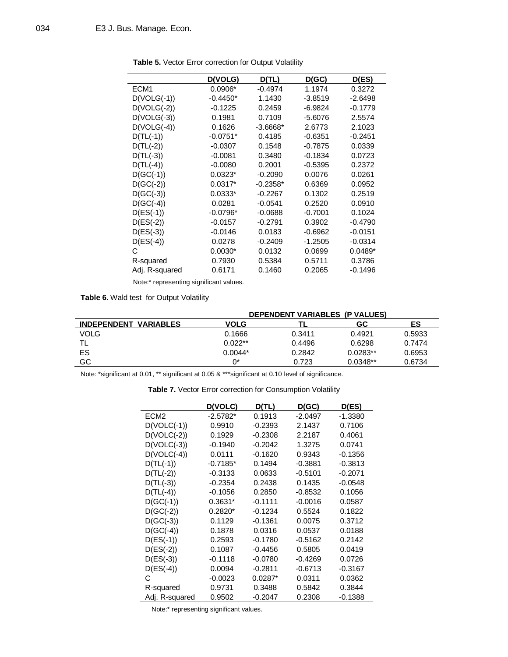|                  | <b>D(VOLG)</b> | D(TL)      | D(GC)     | D(ES)     |
|------------------|----------------|------------|-----------|-----------|
| ECM <sub>1</sub> | $0.0906*$      | $-0.4974$  | 1.1974    | 0.3272    |
| $D(VOLG(-1))$    | $-0.4450*$     | 1.1430     | $-3.8519$ | $-2.6498$ |
| $D(VOLG(-2))$    | $-0.1225$      | 0.2459     | -6.9824   | $-0.1779$ |
| $D(VOLG(-3))$    | 0.1981         | 0.7109     | $-5.6076$ | 2.5574    |
| $D(VOLG(-4))$    | 0.1626         | $-3.6668*$ | 2.6773    | 2.1023    |
| $D(TL(-1))$      | $-0.0751*$     | 0.4185     | $-0.6351$ | $-0.2451$ |
| $D(TL(-2))$      | $-0.0307$      | 0.1548     | $-0.7875$ | 0.0339    |
| $D(TL(-3))$      | $-0.0081$      | 0.3480     | $-0.1834$ | 0.0723    |
| $D(TL(-4))$      | $-0.0080$      | 0.2001     | $-0.5395$ | 0.2372    |
| $D(GC(-1))$      | $0.0323*$      | $-0.2090$  | 0.0076    | 0.0261    |
| $D(GC(-2))$      | $0.0317*$      | $-0.2358*$ | 0.6369    | 0.0952    |
| $D(GC(-3))$      | $0.0333*$      | $-0.2267$  | 0.1302    | 0.2519    |
| $D(GC(-4))$      | 0.0281         | $-0.0541$  | 0.2520    | 0.0910    |
| $D(ES(-1))$      | $-0.0796*$     | $-0.0688$  | $-0.7001$ | 0.1024    |
| $D(ES(-2))$      | $-0.0157$      | -0.2791    | 0.3902    | $-0.4790$ |
| $D(ES(-3))$      | $-0.0146$      | 0.0183     | $-0.6962$ | $-0.0151$ |
| $D(ES(-4))$      | 0.0278         | $-0.2409$  | $-1.2505$ | $-0.0314$ |
| С                | $0.0030*$      | 0.0132     | 0.0699    | $0.0489*$ |
| R-squared        | 0.7930         | 0.5384     | 0.5711    | 0.3786    |
| Adj. R-squared   | 0.6171         | 0.1460     | 0.2065    | $-0.1496$ |

**Table 5.** Vector Error correction for Output Volatility

Note:\* representing significant values.

Table 6. Wald test for Output Volatility

|                              |           | <b>DEPENDENT VARIABLES (P VALUES)</b> |            |        |
|------------------------------|-----------|---------------------------------------|------------|--------|
| <b>INDEPENDENT VARIABLES</b> | VOLG      |                                       | GC         | ES     |
| <b>VOLG</b>                  | 0.1666    | 0.3411                                | 0.4921     | 0.5933 |
|                              | $0.022**$ | 0.4496                                | 0.6298     | 0.7474 |
| ES                           | $0.0044*$ | 0.2842                                | $0.0283**$ | 0.6953 |
| GC                           | n*        | 0.723                                 | $0.0348**$ | 0.6734 |

Note: \*significant at 0.01, \*\* significant at 0.05 & \*\*\*significant at 0.10 level of significance.

|                  | D(VOLC)    | D(TL)     | D(GC)     | D(ES)     |
|------------------|------------|-----------|-----------|-----------|
| ECM <sub>2</sub> | $-2.5782*$ | 0.1913    | $-2.0497$ | $-1.3380$ |
| $D(VOLC(-1))$    | 0.9910     | $-0.2393$ | 2.1437    | 0.7106    |
| $D(VOLC(-2))$    | 0.1929     | $-0.2308$ | 2.2187    | 0.4061    |
| $D(VOLC(-3))$    | $-0.1940$  | $-0.2042$ | 1.3275    | 0.0741    |
| $D(VOLC(-4))$    | 0.0111     | $-0.1620$ | 0.9343    | $-0.1356$ |
| $D(TL(-1))$      | $-0.7185*$ | 0.1494    | $-0.3881$ | $-0.3813$ |
| $D(TL(-2))$      | $-0.3133$  | 0.0633    | $-0.5101$ | $-0.2071$ |
| $D(TL(-3))$      | $-0.2354$  | 0.2438    | 0.1435    | $-0.0548$ |
| $D(TL(-4))$      | $-0.1056$  | 0.2850    | $-0.8532$ | 0.1056    |
| $D(GC(-1))$      | $0.3631*$  | $-0.1111$ | $-0.0016$ | 0.0587    |
| $D(GC(-2))$      | $0.2820*$  | $-0.1234$ | 0.5524    | 0.1822    |
| $D(GC(-3))$      | 0.1129     | $-0.1361$ | 0.0075    | 0.3712    |
| $D(GC(-4))$      | 0.1878     | 0.0316    | 0.0537    | 0.0188    |
| $D(ES(-1))$      | 0.2593     | $-0.1780$ | $-0.5162$ | 0.2142    |
| $D(ES(-2))$      | 0.1087     | $-0.4456$ | 0.5805    | 0.0419    |
| $D(ES(-3))$      | $-0.1118$  | $-0.0780$ | $-0.4269$ | 0.0726    |
| $D(ES(-4))$      | 0.0094     | $-0.2811$ | $-0.6713$ | $-0.3167$ |
| C                | $-0.0023$  | $0.0287*$ | 0.0311    | 0.0362    |
| R-squared        | 0.9731     | 0.3488    | 0.5842    | 0.3844    |
| Adj. R-squared   | 0.9502     | $-0.2047$ | 0.2308    | $-0.1388$ |

**Table 7.** Vector Error correction for Consumption Volatility

Note:\* representing significant values.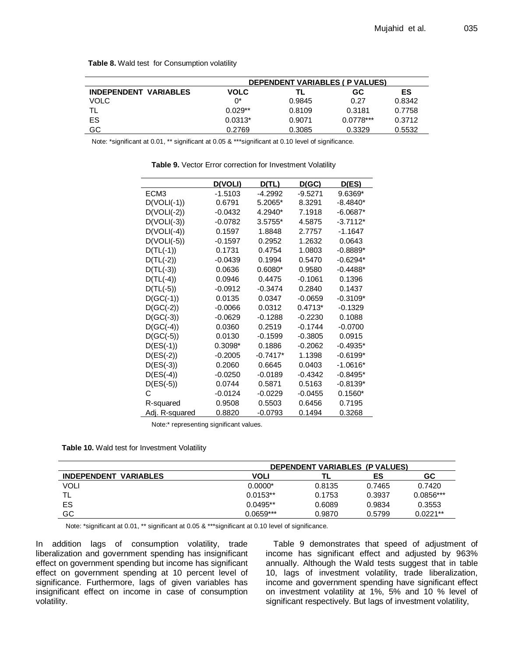|                              |             | <b>DEPENDENT VARIABLES ( P VALUES)</b> |             |        |
|------------------------------|-------------|----------------------------------------|-------------|--------|
| <b>INDEPENDENT VARIABLES</b> | <b>VOLC</b> | TL                                     | GC          | ES     |
| <b>VOLC</b>                  | ሰ*          | 0.9845                                 | 0.27        | 0.8342 |
|                              | $0.029**$   | 0.8109                                 | 0.3181      | 0.7758 |
| ES                           | $0.0313*$   | 0.9071                                 | $0.0778***$ | 0.3712 |
| GC                           | 0.2769      | 0.3085                                 | 0.3329      | 0.5532 |

**Table 8.** Wald test for Consumption volatility

Note: \*significant at 0.01, \*\* significant at 0.05 & \*\*\*significant at 0.10 level of significance.

|                  | <b>D(VOLI)</b> | D(TL)     | <u>D(GC)</u> | D(ES)      |
|------------------|----------------|-----------|--------------|------------|
| ECM <sub>3</sub> | $-1.5103$      | $-4.2992$ | $-9.5271$    | 9.6369*    |
| $D(VOLI(-1))$    | 0.6791         | 5.2065*   | 8.3291       | $-8.4840*$ |
| $D(VOLI(-2))$    | $-0.0432$      | 4.2940*   | 7.1918       | $-6.0687*$ |
| $D(VOLI(-3))$    | $-0.0782$      | 3.5755*   | 4.5875       | $-3.7112*$ |
| $D(VOLI(-4))$    | 0.1597         | 1.8848    | 2.7757       | -1.1647    |
| $D(VOLI(-5))$    | $-0.1597$      | 0.2952    | 1.2632       | 0.0643     |
| $D(TL(-1))$      | 0.1731         | 0.4754    | 1.0803       | $-0.8889*$ |
| $D(TL(-2))$      | $-0.0439$      | 0.1994    | 0.5470       | $-0.6294*$ |
| $D(TL(-3))$      | 0.0636         | $0.6080*$ | 0.9580       | $-0.4488*$ |
| $D(TL(-4))$      | 0.0946         | 0.4475    | $-0.1061$    | 0.1396     |
| $D(TL(-5))$      | $-0.0912$      | $-0.3474$ | 0.2840       | 0.1437     |
| $D(GC(-1))$      | 0.0135         | 0.0347    | $-0.0659$    | $-0.3109*$ |
| $D(GC(-2))$      | $-0.0066$      | 0.0312    | $0.4713*$    | $-0.1329$  |
| $D(GC(-3))$      | $-0.0629$      | $-0.1288$ | $-0.2230$    | 0.1088     |
| $D(GC(-4))$      | 0.0360         | 0.2519    | $-0.1744$    | $-0.0700$  |
| $D(GC(-5))$      | 0.0130         | $-0.1599$ | $-0.3805$    | 0.0915     |
| $D(ES(-1))$      | 0.3098*        | 0.1886    | $-0.2062$    | $-0.4935*$ |
| $D(ES(-2))$      | $-0.2005$      | -0.7417*  | 1.1398       | $-0.6199*$ |
| $D(ES(-3))$      | 0.2060         | 0.6645    | 0.0403       | $-1.0616*$ |
| $D(ES(-4))$      | $-0.0250$      | $-0.0189$ | $-0.4342$    | $-0.8495*$ |
| $D(ES(-5))$      | 0.0744         | 0.5871    | 0.5163       | $-0.8139*$ |
| С                | $-0.0124$      | $-0.0229$ | $-0.0455$    | $0.1560*$  |
| R-squared        | 0.9508         | 0.5503    | 0.6456       | 0.7195     |
| Adj. R-squared   | 0.8820         | $-0.0793$ | 0.1494       | 0.3268     |

**Table 9.** Vector Error correction for Investment Volatility

Note:\* representing significant values.

|  |  |  | Table 10. Wald test for Investment Volatility |  |
|--|--|--|-----------------------------------------------|--|
|--|--|--|-----------------------------------------------|--|

|                              |                  | DEPENDENT VARIABLES (P VALUES) |        |             |  |  |  |
|------------------------------|------------------|--------------------------------|--------|-------------|--|--|--|
| <b>INDEPENDENT VARIABLES</b> | GC<br>VOLI<br>ES |                                |        |             |  |  |  |
| VOLI                         | $0.0000*$        | 0.8135                         | 0.7465 | 0.7420      |  |  |  |
| ΤL                           | $0.0153**$       | 0.1753                         | 0.3937 | $0.0856***$ |  |  |  |
| ES                           | $0.0495**$       | 0.6089                         | 0.9834 | 0.3553      |  |  |  |
| GC                           | $0.0659***$      | 0.9870                         | 0.5799 | $0.0221**$  |  |  |  |

Note: \*significant at 0.01, \*\* significant at 0.05 & \*\*\*significant at 0.10 level of significance.

In addition lags of consumption volatility, trade liberalization and government spending has insignificant effect on government spending but income has significant effect on government spending at 10 percent level of significance. Furthermore, lags of given variables has insignificant effect on income in case of consumption volatility.

Table 9 demonstrates that speed of adjustment of income has significant effect and adjusted by 963% annually. Although the Wald tests suggest that in table 10, lags of investment volatility, trade liberalization, income and government spending have significant effect on investment volatility at 1%, 5% and 10 % level of significant respectively. But lags of investment volatility,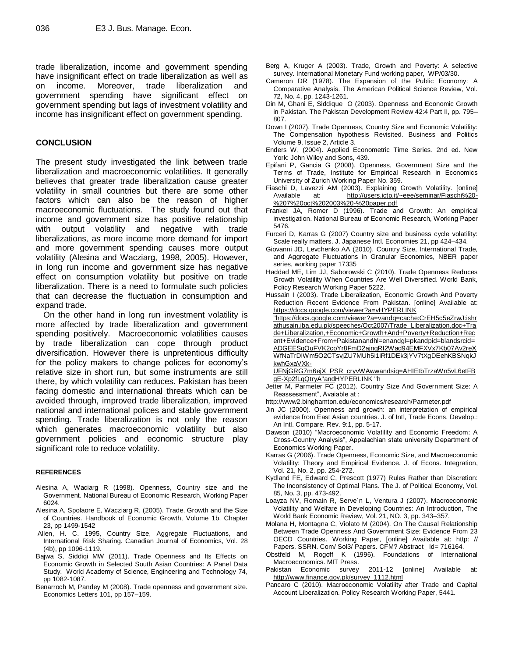trade liberalization, income and government spending have insignificant effect on trade liberalization as well as on income. Moreover, trade liberalization and government spending have significant effect on government spending but lags of investment volatility and income has insignificant effect on government spending.

#### **CONCLUSION**

The present study investigated the link between trade liberalization and macroeconomic volatilities. It generally believes that greater trade liberalization cause greater volatility in small countries but there are some other factors which can also be the reason of higher macroeconomic fluctuations. The study found out that income and government size has positive relationship with output volatility and negative with trade liberalizations, as more income more demand for import and more government spending causes more output volatility (Alesina and Wacziarg, 1998, 2005). However, in long run income and government size has negative effect on consumption volatility but positive on trade liberalization. There is a need to formulate such policies that can decrease the fluctuation in consumption and expand trade.

On the other hand in long run investment volatility is more affected by trade liberalization and government spending positively. Macroeconomic volatilities causes by trade liberalization can cope through product diversification. However there is unpretentious difficulty for the policy makers to change polices for economy's relative size in short run, but some instruments are still there, by which volatility can reduces. Pakistan has been facing domestic and international threats which can be avoided through, improved trade liberalization, improved national and international polices and stable government spending. Trade liberalization is not only the reason which generates macroeconomic volatility but also government policies and economic structure play significant role to reduce volatility.

#### **REFERENCES**

- Alesina A, Waciarg R (1998). Openness, Country size and the Government. National Bureau of Economic Research, Working Paper 6024.
- Alesina A, Spolaore E, Wacziarg R, (2005). Trade, Growth and the Size of Countries. Handbook of Economic Growth, Volume 1b, Chapter 23, pp 1499-1542
- Allen, H. C. 1995, Country Size, Aggregate Fluctuations, and International Risk Sharing. Canadian Journal of Economics, Vol. 28 (4b), pp 1096-1119.
- Bajwa S, Siddiqi MW (2011). Trade Openness and Its Effects on Economic Growth in Selected South Asian Countries: A Panel Data Study. World Academy of Science, Engineering and Technology 74, pp 1082-1087.
- Benarroch M, Pandey M (2008). Trade openness and government size. Economics Letters 101, pp 157–159.
- Berg A, Kruger A (2003). Trade, Growth and Poverty: A selective survey. International Monetary Fund working paper, WP/03/30.
- Cameron DR (1978). The Expansion of the Public Economy: A Comparative Analysis. The American Political Science Review, Vol. 72, No. 4, pp. 1243-1261.
- Din M, Ghani E, Siddique O (2003). Openness and Economic Growth in Pakistan. The Pakistan Development Review 42:4 Part II, pp. 795– 807.
- Down I (2007). Trade Openness, Country Size and Economic Volatility: The Compensation hypothesis Revisited. Business and Politics Volume 9, Issue 2, Article 3.
- Enders W, (2004). Applied Econometric Time Series. 2nd ed. New York: John Wiley and Sons, 439.
- Epifani P, Gancia G (2008). Openness, Government Size and the Terms of Trade, Institute for Empirical Research in Economics University of Zurich Working Paper No. 359.
- Fiaschi D, Lavezzi AM (2003). Explaining Growth Volatility. [online] Available at: [http://users.ictp.it/~eee/seminar/Fiaschi%20-](http://users.ictp.it/~eee/seminar/Fiaschi%20-%207%20oct%202003%20-%20paper.pdf) [%207%20oct%202003%20-%20paper.pdf](http://users.ictp.it/~eee/seminar/Fiaschi%20-%207%20oct%202003%20-%20paper.pdf)
- Frankel JA, Romer D (1996). Trade and Growth: An empirical investigation. National Bureau of Economic Research, Working Paper 5476.
- Furceri D, Karras G (2007) Country size and business cycle volatility: Scale really matters. J. Japanese Intl. Economies 21, pp 424–434.
- Giovanni JD, Levchenko AA (2010). Country Size, International Trade, and Aggregate Fluctuations in Granular Economies, NBER paper series, working paper 17335
- Haddad ME, Lim JJ, Saborowski C (2010). Trade Openness Reduces Growth Volatility When Countries Are Well Diversified. World Bank, Policy Research Working Paper 5222.
- Hussain I (2003). Trade Liberalization, Economic Growth And Poverty Reduction Recent Evidence From Pakistan. [online] Available at: [https://docs.google.com/viewer?a=vHYPERLINK](https://docs.google.com/viewer?a=v&q=cache:CrEH5c5eZrwJ:ishrathusain.iba.edu.pk/speeches/Oct2007/Trade_Liberalization.doc+Trade+Liberalization,+Economic+Growth+And+Poverty+Reduction+Recent+Evidence+From+Pakistan&hl=en&gl=pk&pid=bl&srcid=ADGEESgQuFVK2coYr8FmD2ajnqRI2Wad94EMFXVx7Kb07Av2reXWfNaTrDIWm5O2CTsvjZU7MUh5i1iRf1DEk3jYV7tXgDEehKBSNqkJkwhGxaVXk-UFNjGRG7m6ejX_PSR_cryvWAww&sig=AHIEtbTrzaWn5vL6etFBgE-Xp2fLqQtryA)

["https://docs.google.com/viewer?a=vandq=cache:CrEH5c5eZrwJ:ishr](https://docs.google.com/viewer?a=v&q=cache:CrEH5c5eZrwJ:ishrathusain.iba.edu.pk/speeches/Oct2007/Trade_Liberalization.doc+Trade+Liberalization,+Economic+Growth+And+Poverty+Reduction+Recent+Evidence+From+Pakistan&hl=en&gl=pk&pid=bl&srcid=ADGEESgQuFVK2coYr8FmD2ajnqRI2Wad94EMFXVx7Kb07Av2reXWfNaTrDIWm5O2CTsvjZU7MUh5i1iRf1DEk3jYV7tXgDEehKBSNqkJkwhGxaVXk-UFNjGRG7m6ejX_PSR_cryvWAww&sig=AHIEtbTrzaWn5vL6etFBgE-Xp2fLqQtryA) [athusain.iba.edu.pk/speeches/Oct2007/Trade\\_Liberalization.doc+Tra](https://docs.google.com/viewer?a=v&q=cache:CrEH5c5eZrwJ:ishrathusain.iba.edu.pk/speeches/Oct2007/Trade_Liberalization.doc+Trade+Liberalization,+Economic+Growth+And+Poverty+Reduction+Recent+Evidence+From+Pakistan&hl=en&gl=pk&pid=bl&srcid=ADGEESgQuFVK2coYr8FmD2ajnqRI2Wad94EMFXVx7Kb07Av2reXWfNaTrDIWm5O2CTsvjZU7MUh5i1iRf1DEk3jYV7tXgDEehKBSNqkJkwhGxaVXk-UFNjGRG7m6ejX_PSR_cryvWAww&sig=AHIEtbTrzaWn5vL6etFBgE-Xp2fLqQtryA) [de+Liberalization,+Economic+Growth+And+Poverty+Reduction+Rec](https://docs.google.com/viewer?a=v&q=cache:CrEH5c5eZrwJ:ishrathusain.iba.edu.pk/speeches/Oct2007/Trade_Liberalization.doc+Trade+Liberalization,+Economic+Growth+And+Poverty+Reduction+Recent+Evidence+From+Pakistan&hl=en&gl=pk&pid=bl&srcid=ADGEESgQuFVK2coYr8FmD2ajnqRI2Wad94EMFXVx7Kb07Av2reXWfNaTrDIWm5O2CTsvjZU7MUh5i1iRf1DEk3jYV7tXgDEehKBSNqkJkwhGxaVXk-UFNjGRG7m6ejX_PSR_cryvWAww&sig=AHIEtbTrzaWn5vL6etFBgE-Xp2fLqQtryA) [ent+Evidence+From+Pakistanandhl=enandgl=pkandpid=blandsrcid=](https://docs.google.com/viewer?a=v&q=cache:CrEH5c5eZrwJ:ishrathusain.iba.edu.pk/speeches/Oct2007/Trade_Liberalization.doc+Trade+Liberalization,+Economic+Growth+And+Poverty+Reduction+Recent+Evidence+From+Pakistan&hl=en&gl=pk&pid=bl&srcid=ADGEESgQuFVK2coYr8FmD2ajnqRI2Wad94EMFXVx7Kb07Av2reXWfNaTrDIWm5O2CTsvjZU7MUh5i1iRf1DEk3jYV7tXgDEehKBSNqkJkwhGxaVXk-UFNjGRG7m6ejX_PSR_cryvWAww&sig=AHIEtbTrzaWn5vL6etFBgE-Xp2fLqQtryA) [ADGEESgQuFVK2coYr8FmD2ajnqRI2Wad94EMFXVx7Kb07Av2reX](https://docs.google.com/viewer?a=v&q=cache:CrEH5c5eZrwJ:ishrathusain.iba.edu.pk/speeches/Oct2007/Trade_Liberalization.doc+Trade+Liberalization,+Economic+Growth+And+Poverty+Reduction+Recent+Evidence+From+Pakistan&hl=en&gl=pk&pid=bl&srcid=ADGEESgQuFVK2coYr8FmD2ajnqRI2Wad94EMFXVx7Kb07Av2reXWfNaTrDIWm5O2CTsvjZU7MUh5i1iRf1DEk3jYV7tXgDEehKBSNqkJkwhGxaVXk-UFNjGRG7m6ejX_PSR_cryvWAww&sig=AHIEtbTrzaWn5vL6etFBgE-Xp2fLqQtryA) [WfNaTrDIWm5O2CTsvjZU7MUh5i1iRf1DEk3jYV7tXgDEehKBSNqkJ](https://docs.google.com/viewer?a=v&q=cache:CrEH5c5eZrwJ:ishrathusain.iba.edu.pk/speeches/Oct2007/Trade_Liberalization.doc+Trade+Liberalization,+Economic+Growth+And+Poverty+Reduction+Recent+Evidence+From+Pakistan&hl=en&gl=pk&pid=bl&srcid=ADGEESgQuFVK2coYr8FmD2ajnqRI2Wad94EMFXVx7Kb07Av2reXWfNaTrDIWm5O2CTsvjZU7MUh5i1iRf1DEk3jYV7tXgDEehKBSNqkJkwhGxaVXk-UFNjGRG7m6ejX_PSR_cryvWAww&sig=AHIEtbTrzaWn5vL6etFBgE-Xp2fLqQtryA) [kwhGxaVXk-](https://docs.google.com/viewer?a=v&q=cache:CrEH5c5eZrwJ:ishrathusain.iba.edu.pk/speeches/Oct2007/Trade_Liberalization.doc+Trade+Liberalization,+Economic+Growth+And+Poverty+Reduction+Recent+Evidence+From+Pakistan&hl=en&gl=pk&pid=bl&srcid=ADGEESgQuFVK2coYr8FmD2ajnqRI2Wad94EMFXVx7Kb07Av2reXWfNaTrDIWm5O2CTsvjZU7MUh5i1iRf1DEk3jYV7tXgDEehKBSNqkJkwhGxaVXk-UFNjGRG7m6ejX_PSR_cryvWAww&sig=AHIEtbTrzaWn5vL6etFBgE-Xp2fLqQtryA)

[UFNjGRG7m6ejX\\_PSR\\_cryvWAwwandsig=AHIEtbTrzaWn5vL6etFB](https://docs.google.com/viewer?a=v&q=cache:CrEH5c5eZrwJ:ishrathusain.iba.edu.pk/speeches/Oct2007/Trade_Liberalization.doc+Trade+Liberalization,+Economic+Growth+And+Poverty+Reduction+Recent+Evidence+From+Pakistan&hl=en&gl=pk&pid=bl&srcid=ADGEESgQuFVK2coYr8FmD2ajnqRI2Wad94EMFXVx7Kb07Av2reXWfNaTrDIWm5O2CTsvjZU7MUh5i1iRf1DEk3jYV7tXgDEehKBSNqkJkwhGxaVXk-UFNjGRG7m6ejX_PSR_cryvWAww&sig=AHIEtbTrzaWn5vL6etFBgE-Xp2fLqQtryA) [gE-Xp2fLqQtryA"andHYPERLINK "h](https://docs.google.com/viewer?a=v&q=cache:CrEH5c5eZrwJ:ishrathusain.iba.edu.pk/speeches/Oct2007/Trade_Liberalization.doc+Trade+Liberalization,+Economic+Growth+And+Poverty+Reduction+Recent+Evidence+From+Pakistan&hl=en&gl=pk&pid=bl&srcid=ADGEESgQuFVK2coYr8FmD2ajnqRI2Wad94EMFXVx7Kb07Av2reXWfNaTrDIWm5O2CTsvjZU7MUh5i1iRf1DEk3jYV7tXgDEehKBSNqkJkwhGxaVXk-UFNjGRG7m6ejX_PSR_cryvWAww&sig=AHIEtbTrzaWn5vL6etFBgE-Xp2fLqQtryA)

- Jetter M, Parmeter FC (2012). Country Size And Government Size: A Reassessment", Avaiable at :
- <http://www2.binghamton.edu/economics/research/Parmeter.pdf>
- Jin JC (2000). Openness and growth: an interpretation of empirical evidence from East Asian countries. J. of Intl, Trade Econs. Develop.: An Intl. Compare. Rev. 9:1, pp. 5-17.
- Dawson (2010) "Macroeconomic Volatility and Economic Freedom: A Cross-Country Analysis", Appalachian state university Department of Economics Working Paper.
- Karras G (2006). Trade Openness, Economic Size, and Macroeconomic Volatility: Theory and Empirical Evidence. J. of Econs. Integration, Vol. 21, No. 2, pp. 254-272.
- Kydland FE, Edward C, Prescott (1977) Rules Rather than Discretion: The Inconsistency of Optimal Plans. The J. of Political Economy, Vol. 85, No. 3, pp. 473-492.
- Loayza NV, Romain R, Serve´n L, Ventura J (2007). Macroeconomic Volatility and Welfare in Developing Countries: An Introduction, The World Bank Economic Review, Vol. 21, NO. 3, pp. 343–357.
- Molana H, Montagna C, Violato M (2004). On The Causal Relationship Between Trade Openness And Government Size: Evidence From 23 OECD Countries. Working Paper, [online] Available at: http: // Papers. SSRN. Com/ Sol3/ Papers. CFM? Abstract\_ Id= 716164.
- Obstfeld M, Rogoff K (1996). Foundations of International Macroeconomics. MIT Press.
- Pakistan Economic survey 2011-12 [online] Available at: [http://www.finance.gov.pk/survey\\_1112.html](http://www.finance.gov.pk/survey_1112.html)
- Pancaro C (2010). Macroeconomic Volatility after Trade and Capital Account Liberalization. Policy Research Working Paper, 5441.